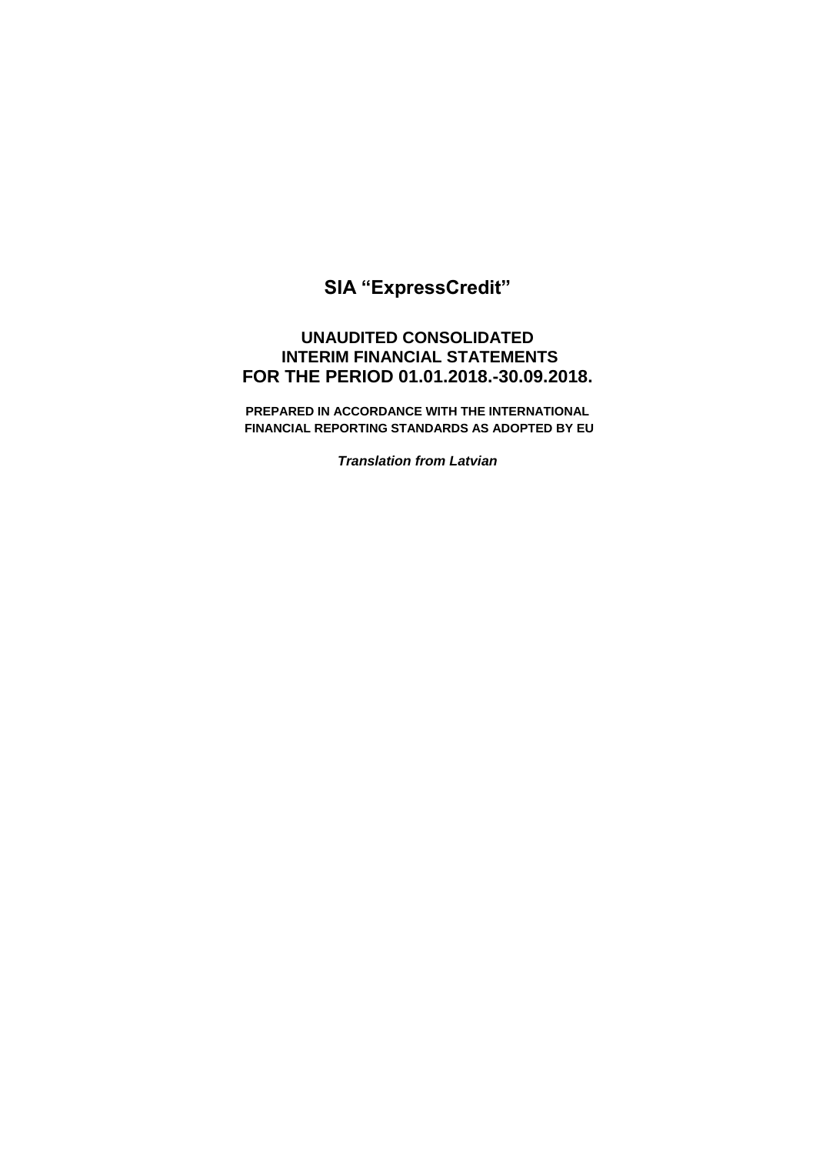# **SIA "ExpressCredit"**

# **UNAUDITED CONSOLIDATED INTERIM FINANCIAL STATEMENTS FOR THE PERIOD 01.01.2018.-30.09.2018.**

**PREPARED IN ACCORDANCE WITH THE INTERNATIONAL FINANCIAL REPORTING STANDARDS AS ADOPTED BY EU** 

*Translation from Latvian*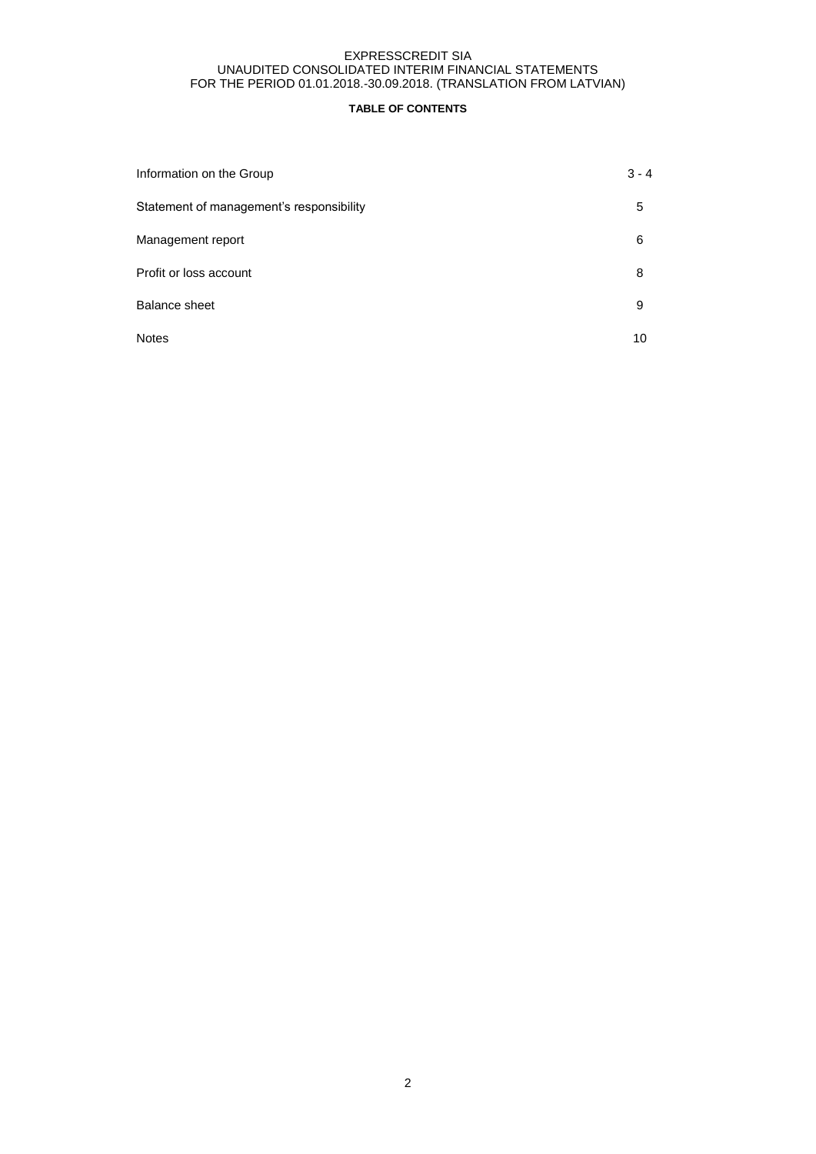# **TABLE OF CONTENTS**

| Information on the Group                 | $3 - 4$ |
|------------------------------------------|---------|
| Statement of management's responsibility | 5       |
| Management report                        | 6       |
| Profit or loss account                   | 8       |
| Balance sheet                            | 9       |
| <b>Notes</b>                             | 10      |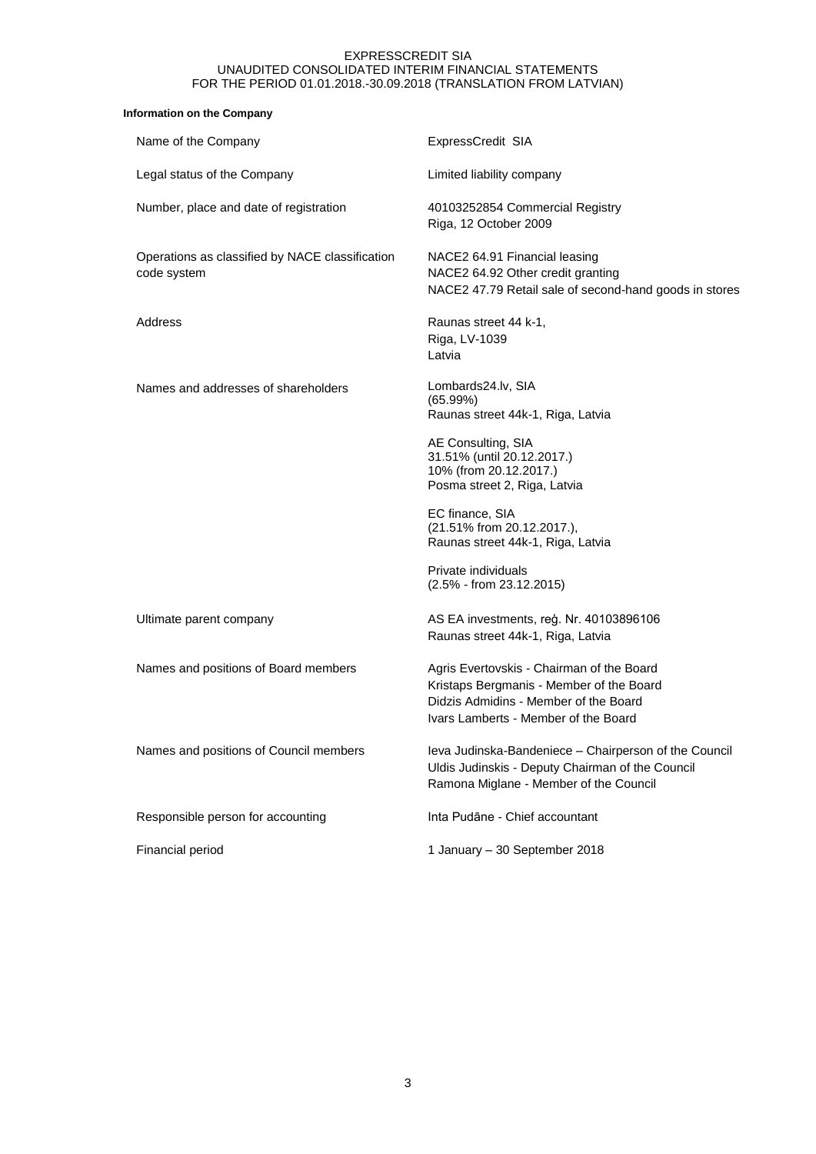# **Information on the Company**

| Name of the Company                                            | ExpressCredit SIA                                                                                                                                                      |
|----------------------------------------------------------------|------------------------------------------------------------------------------------------------------------------------------------------------------------------------|
| Legal status of the Company                                    | Limited liability company                                                                                                                                              |
| Number, place and date of registration                         | 40103252854 Commercial Registry<br>Riga, 12 October 2009                                                                                                               |
| Operations as classified by NACE classification<br>code system | NACE2 64.91 Financial leasing<br>NACE2 64.92 Other credit granting<br>NACE2 47.79 Retail sale of second-hand goods in stores                                           |
| Address                                                        | Raunas street 44 k-1,<br>Riga, LV-1039<br>Latvia                                                                                                                       |
| Names and addresses of shareholders                            | Lombards24.lv, SIA<br>(65.99%)<br>Raunas street 44k-1, Riga, Latvia                                                                                                    |
|                                                                | AE Consulting, SIA<br>31.51% (until 20.12.2017.)<br>10% (from 20.12.2017.)<br>Posma street 2, Riga, Latvia                                                             |
|                                                                | EC finance, SIA<br>(21.51% from 20.12.2017.),<br>Raunas street 44k-1, Riga, Latvia                                                                                     |
|                                                                | Private individuals<br>(2.5% - from 23.12.2015)                                                                                                                        |
| Ultimate parent company                                        | AS EA investments, reģ. Nr. 40103896106<br>Raunas street 44k-1, Riga, Latvia                                                                                           |
| Names and positions of Board members                           | Agris Evertovskis - Chairman of the Board<br>Kristaps Bergmanis - Member of the Board<br>Didzis Admidins - Member of the Board<br>Ivars Lamberts - Member of the Board |
| Names and positions of Council members                         | Ieva Judinska-Bandeniece - Chairperson of the Council<br>Uldis Judinskis - Deputy Chairman of the Council<br>Ramona Miglane - Member of the Council                    |
| Responsible person for accounting                              | Inta Pudāne - Chief accountant                                                                                                                                         |
| Financial period                                               | 1 January - 30 September 2018                                                                                                                                          |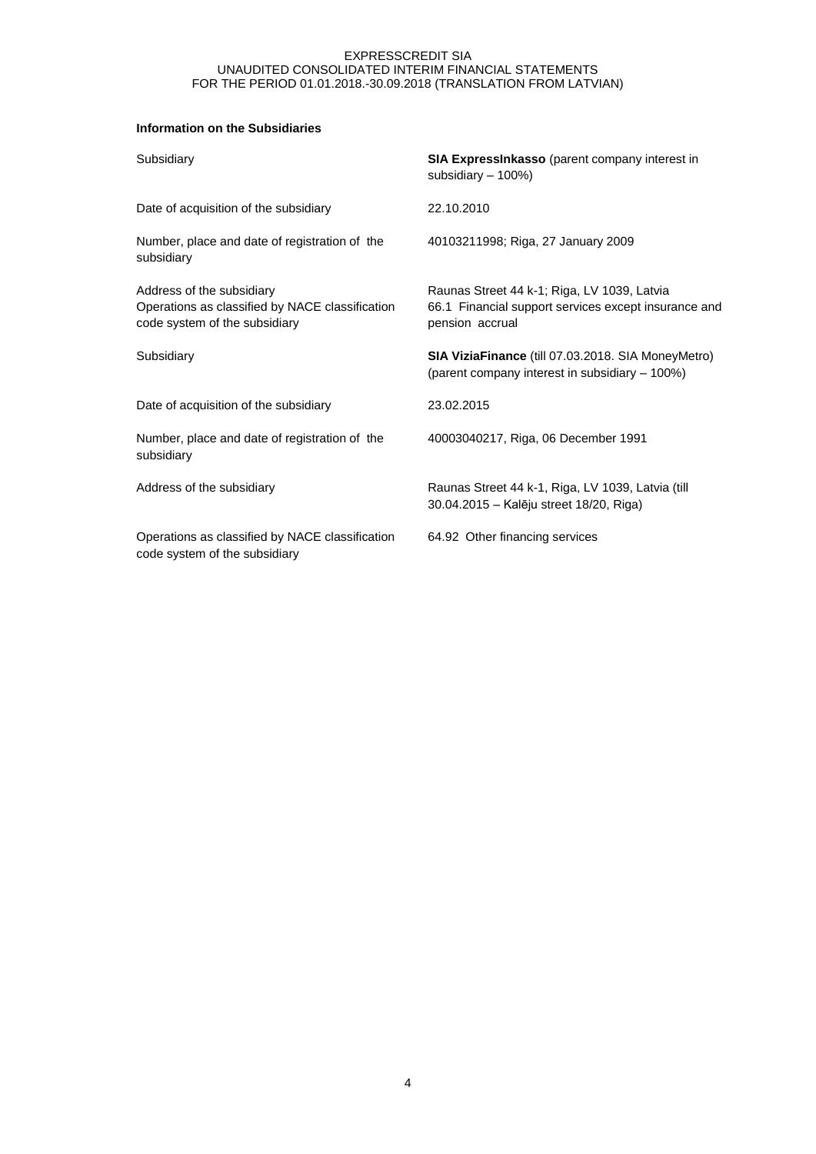# **Information on the Subsidiaries**

| Subsidiary                                                                                                    | <b>SIA ExpressInkasso</b> (parent company interest in<br>subsidiary - 100%)                                            |
|---------------------------------------------------------------------------------------------------------------|------------------------------------------------------------------------------------------------------------------------|
| Date of acquisition of the subsidiary                                                                         | 22.10.2010                                                                                                             |
| Number, place and date of registration of the<br>subsidiary                                                   | 40103211998; Riga, 27 January 2009                                                                                     |
| Address of the subsidiary<br>Operations as classified by NACE classification<br>code system of the subsidiary | Raunas Street 44 k-1; Riga, LV 1039, Latvia<br>66.1 Financial support services except insurance and<br>pension accrual |
| Subsidiary                                                                                                    | <b>SIA ViziaFinance</b> (till 07.03.2018. SIA MoneyMetro)<br>(parent company interest in subsidiary - 100%)            |
| Date of acquisition of the subsidiary                                                                         | 23.02.2015                                                                                                             |
| Number, place and date of registration of the<br>subsidiary                                                   | 40003040217, Riga, 06 December 1991                                                                                    |
| Address of the subsidiary                                                                                     | Raunas Street 44 k-1, Riga, LV 1039, Latvia (till<br>30.04.2015 - Kalēju street 18/20, Riga)                           |
| Operations as classified by NACE classification<br>code system of the subsidiary                              | 64.92 Other financing services                                                                                         |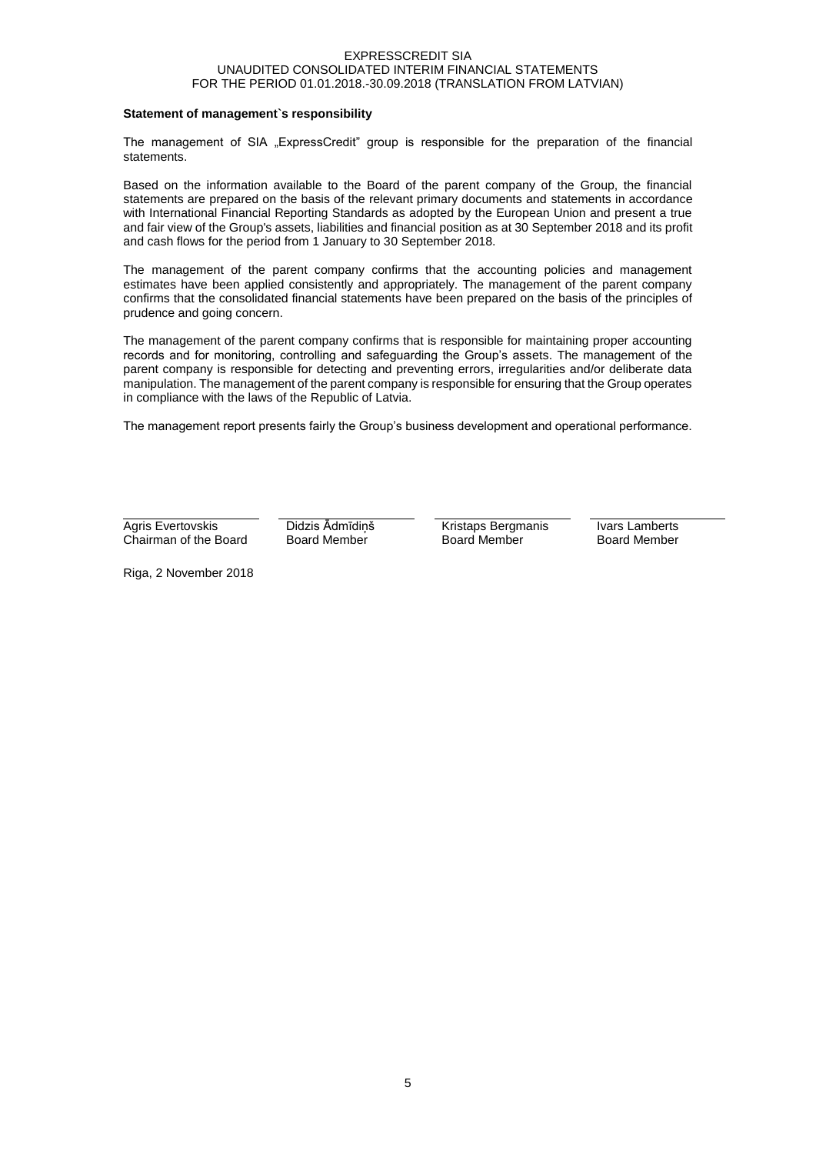## **Statement of management`s responsibility**

The management of SIA "ExpressCredit" group is responsible for the preparation of the financial statements.

Based on the information available to the Board of the parent company of the Group, the financial statements are prepared on the basis of the relevant primary documents and statements in accordance with International Financial Reporting Standards as adopted by the European Union and present a true and fair view of the Group's assets, liabilities and financial position as at 30 September 2018 and its profit and cash flows for the period from 1 January to 30 September 2018.

The management of the parent company confirms that the accounting policies and management estimates have been applied consistently and appropriately. The management of the parent company confirms that the consolidated financial statements have been prepared on the basis of the principles of prudence and going concern.

The management of the parent company confirms that is responsible for maintaining proper accounting records and for monitoring, controlling and safeguarding the Group's assets. The management of the parent company is responsible for detecting and preventing errors, irregularities and/or deliberate data manipulation. The management of the parent company is responsible for ensuring that the Group operates in compliance with the laws of the Republic of Latvia.

The management report presents fairly the Group's business development and operational performance.

Agris Evertovskis Chairman of the Board Didzis Ādmīdiņš Board Member

Kristaps Bergmanis Board Member

Ivars Lamberts Board Member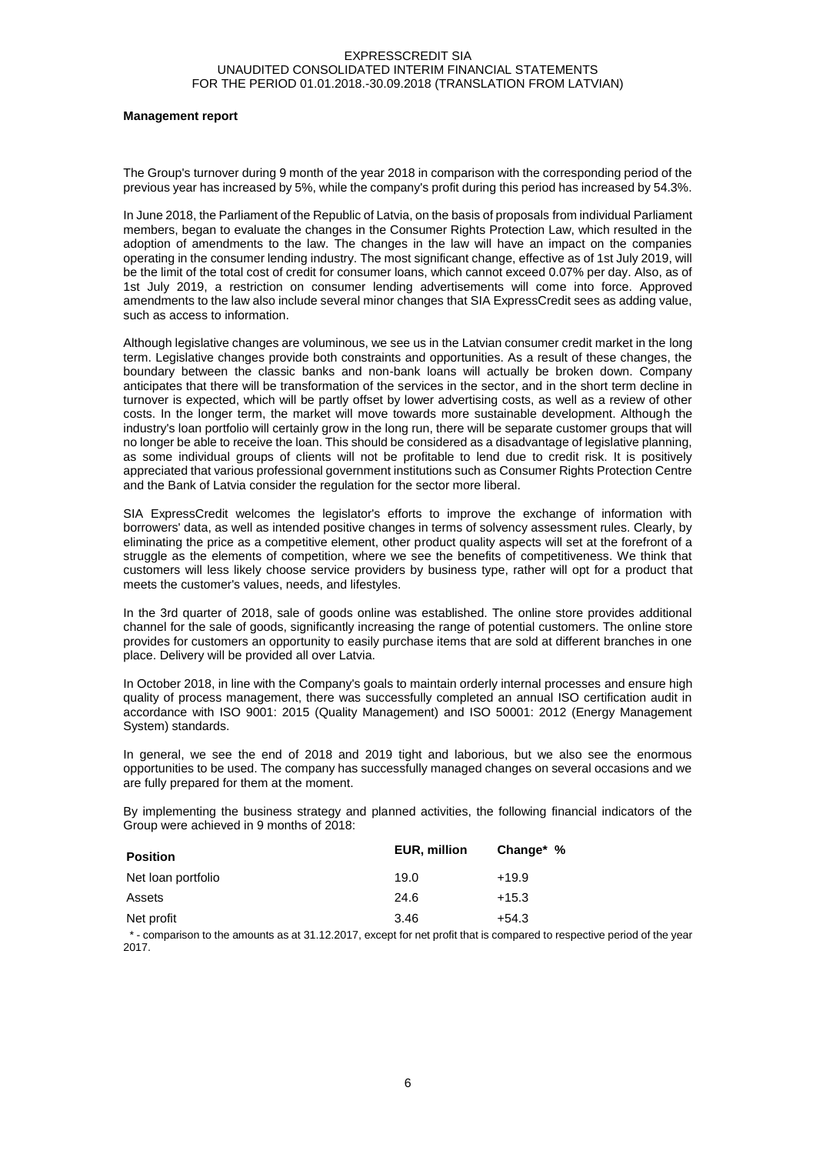#### **Management report**

The Group's turnover during 9 month of the year 2018 in comparison with the corresponding period of the previous year has increased by 5%, while the company's profit during this period has increased by 54.3%.

In June 2018, the Parliament of the Republic of Latvia, on the basis of proposals from individual Parliament members, began to evaluate the changes in the Consumer Rights Protection Law, which resulted in the adoption of amendments to the law. The changes in the law will have an impact on the companies operating in the consumer lending industry. The most significant change, effective as of 1st July 2019, will be the limit of the total cost of credit for consumer loans, which cannot exceed 0.07% per day. Also, as of 1st July 2019, a restriction on consumer lending advertisements will come into force. Approved amendments to the law also include several minor changes that SIA ExpressCredit sees as adding value, such as access to information.

Although legislative changes are voluminous, we see us in the Latvian consumer credit market in the long term. Legislative changes provide both constraints and opportunities. As a result of these changes, the boundary between the classic banks and non-bank loans will actually be broken down. Company anticipates that there will be transformation of the services in the sector, and in the short term decline in turnover is expected, which will be partly offset by lower advertising costs, as well as a review of other costs. In the longer term, the market will move towards more sustainable development. Although the industry's loan portfolio will certainly grow in the long run, there will be separate customer groups that will no longer be able to receive the loan. This should be considered as a disadvantage of legislative planning, as some individual groups of clients will not be profitable to lend due to credit risk. It is positively appreciated that various professional government institutions such as Consumer Rights Protection Centre and the Bank of Latvia consider the regulation for the sector more liberal.

SIA ExpressCredit welcomes the legislator's efforts to improve the exchange of information with borrowers' data, as well as intended positive changes in terms of solvency assessment rules. Clearly, by eliminating the price as a competitive element, other product quality aspects will set at the forefront of a struggle as the elements of competition, where we see the benefits of competitiveness. We think that customers will less likely choose service providers by business type, rather will opt for a product that meets the customer's values, needs, and lifestyles.

In the 3rd quarter of 2018, sale of goods online was established. The online store provides additional channel for the sale of goods, significantly increasing the range of potential customers. The online store provides for customers an opportunity to easily purchase items that are sold at different branches in one place. Delivery will be provided all over Latvia.

In October 2018, in line with the Company's goals to maintain orderly internal processes and ensure high quality of process management, there was successfully completed an annual ISO certification audit in accordance with ISO 9001: 2015 (Quality Management) and ISO 50001: 2012 (Energy Management System) standards.

In general, we see the end of 2018 and 2019 tight and laborious, but we also see the enormous opportunities to be used. The company has successfully managed changes on several occasions and we are fully prepared for them at the moment.

By implementing the business strategy and planned activities, the following financial indicators of the Group were achieved in 9 months of 2018:

| <b>Position</b>    | <b>EUR, million</b> | Change* % |
|--------------------|---------------------|-----------|
| Net loan portfolio | 19.0                | $+19.9$   |
| Assets             | 24.6                | $+15.3$   |
| Net profit         | 3.46                | +54.3     |

 \* - comparison to the amounts as at 31.12.2017, except for net profit that is compared to respective period of the year 2017.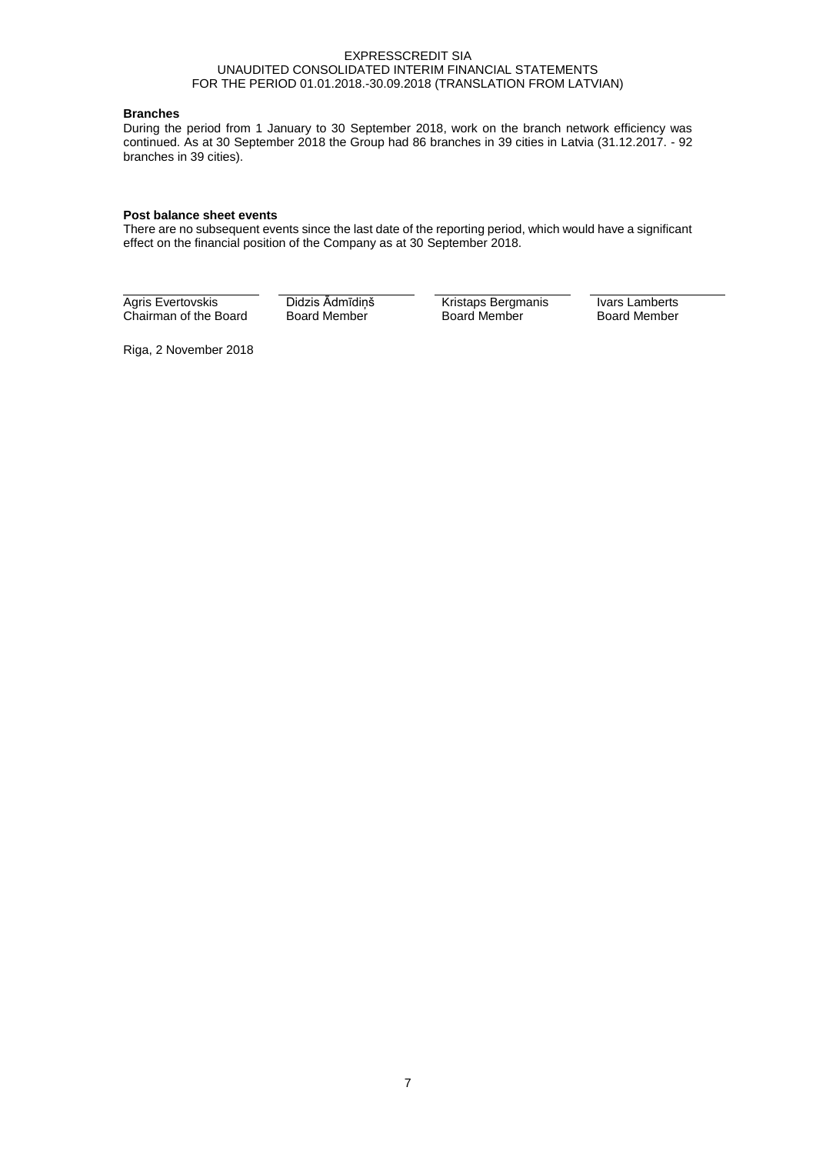# **Branches**

During the period from 1 January to 30 September 2018, work on the branch network efficiency was continued. As at 30 September 2018 the Group had 86 branches in 39 cities in Latvia (31.12.2017. - 92 branches in 39 cities).

## **Post balance sheet events**

There are no subsequent events since the last date of the reporting period, which would have a significant effect on the financial position of the Company as at 30 September 2018.

Agris Evertovskis Chairman of the Board Didzis Ādmīdiņš Board Member

Kristaps Bergmanis Board Member

Ivars Lamberts Board Member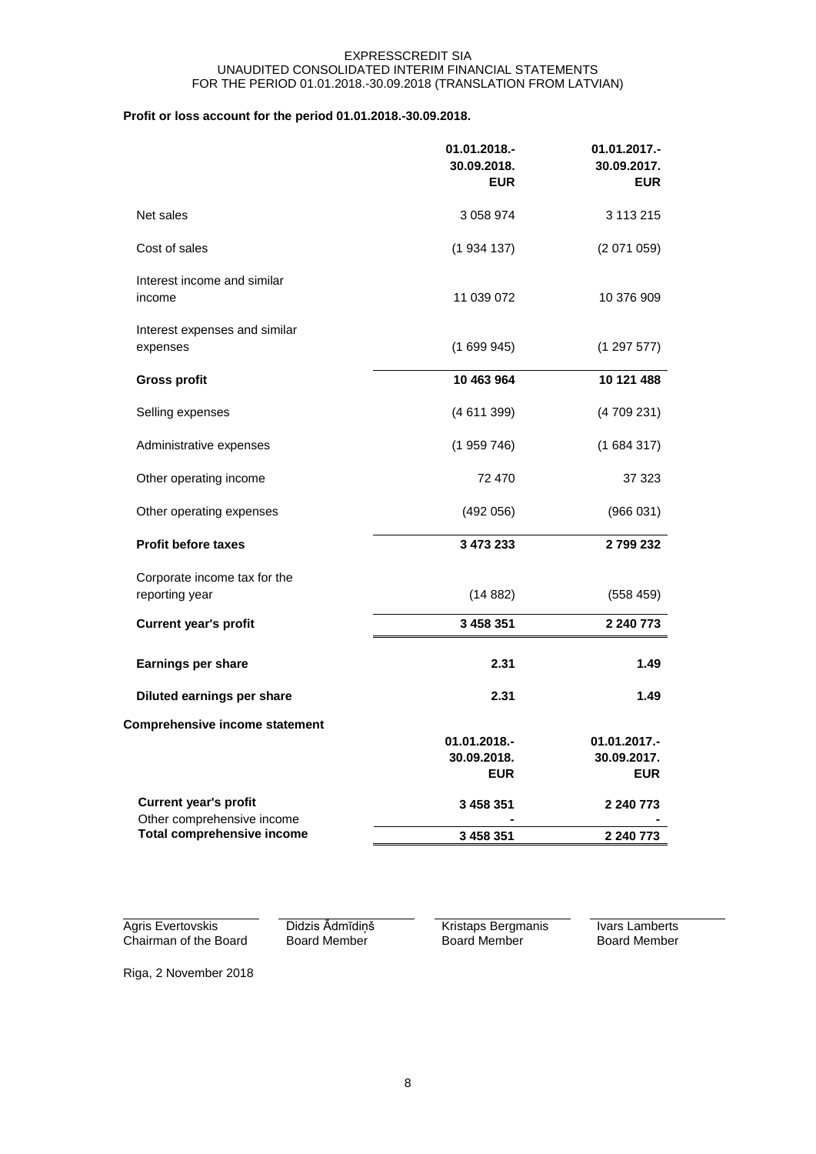# **Profit or loss account for the period 01.01.2018.-30.09.2018.**

|                                                            | 01.01.2018.-<br>30.09.2018.<br><b>EUR</b> | 01.01.2017.-<br>30.09.2017.<br><b>EUR</b> |
|------------------------------------------------------------|-------------------------------------------|-------------------------------------------|
| Net sales                                                  | 3 058 974                                 | 3 113 215                                 |
| Cost of sales                                              | (1934137)                                 | (2071059)                                 |
| Interest income and similar<br>income                      | 11 039 072                                | 10 376 909                                |
| Interest expenses and similar<br>expenses                  | (1699945)                                 | (129757)                                  |
| <b>Gross profit</b>                                        | 10 463 964                                | 10 121 488                                |
| Selling expenses                                           | (4611399)                                 | (4709231)                                 |
| Administrative expenses                                    | (1959746)                                 | (1684317)                                 |
| Other operating income                                     | 72 470                                    | 37 323                                    |
| Other operating expenses                                   | (492 056)                                 | (966031)                                  |
| <b>Profit before taxes</b>                                 | 3 473 233                                 | 2799232                                   |
| Corporate income tax for the<br>reporting year             | (14882)                                   | (558459)                                  |
| <b>Current year's profit</b>                               | 3 458 351                                 | 2 240 773                                 |
| Earnings per share                                         | 2.31                                      | 1.49                                      |
| Diluted earnings per share                                 | 2.31                                      | 1.49                                      |
| <b>Comprehensive income statement</b>                      |                                           |                                           |
|                                                            | 01.01.2018.-<br>30.09.2018.               | 01.01.2017.-<br>30.09.2017.               |
|                                                            | <b>EUR</b>                                | <b>EUR</b>                                |
| <b>Current year's profit</b><br>Other comprehensive income | 3 458 351                                 | 2 240 773                                 |
| <b>Total comprehensive income</b>                          | 3 458 351                                 | 2 240 773                                 |

Agris Evertovskis Chairman of the Board Didzis Ādmīdiņš Board Member

Kristaps Bergmanis Board Member

Ivars Lamberts Board Member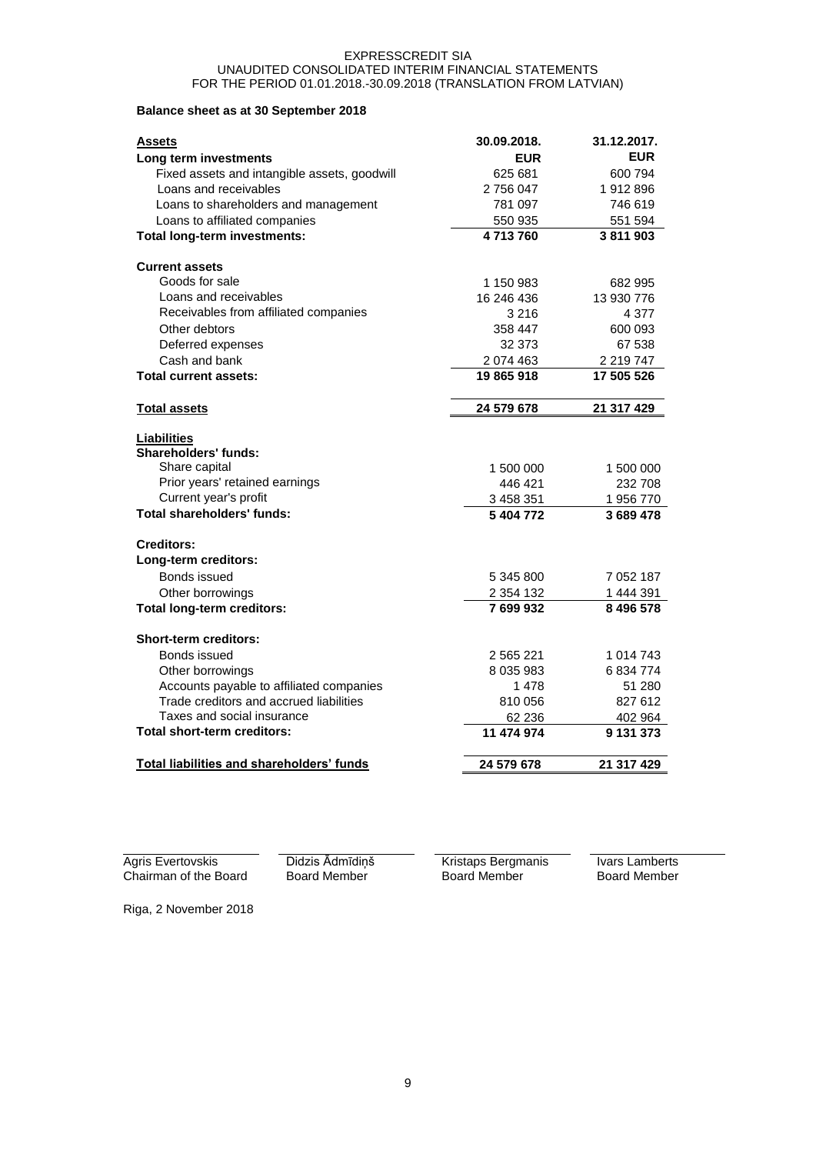## **Balance sheet as at 30 September 2018**

| <b>Assets</b>                                    | 30.09.2018.   | 31.12.2017. |
|--------------------------------------------------|---------------|-------------|
| Long term investments                            | <b>EUR</b>    | <b>EUR</b>  |
| Fixed assets and intangible assets, goodwill     | 625 681       | 600 794     |
| Loans and receivables                            | 2 756 047     | 1912896     |
| Loans to shareholders and management             | 781 097       | 746 619     |
| Loans to affiliated companies                    | 550 935       | 551 594     |
| <b>Total long-term investments:</b>              | 4713760       | 3811903     |
| <b>Current assets</b>                            |               |             |
| Goods for sale                                   | 1 150 983     | 682 995     |
| Loans and receivables                            | 16 246 436    | 13 930 776  |
| Receivables from affiliated companies            | 3 2 1 6       | 4 3 7 7     |
| Other debtors                                    | 358 447       | 600 093     |
| Deferred expenses                                | 32 373        | 67 538      |
| Cash and bank                                    | 2 074 463     | 2 219 747   |
| <b>Total current assets:</b>                     | 19 865 918    | 17 505 526  |
| <b>Total assets</b>                              | 24 579 678    | 21 317 429  |
| <b>Liabilities</b>                               |               |             |
| <b>Shareholders' funds:</b>                      |               |             |
| Share capital                                    | 1 500 000     | 1 500 000   |
| Prior years' retained earnings                   | 446 421       | 232 708     |
| Current year's profit                            | 3 458 351     | 1956770     |
| <b>Total shareholders' funds:</b>                | 5 404 772     | 3 689 478   |
| <b>Creditors:</b>                                |               |             |
| Long-term creditors:                             |               |             |
| Bonds issued                                     | 5 345 800     | 7 052 187   |
| Other borrowings                                 | 2 354 132     | 1 444 391   |
| <b>Total long-term creditors:</b>                | 7699932       | 8496578     |
| <b>Short-term creditors:</b>                     |               |             |
| Bonds issued                                     | 2 565 221     | 1 014 743   |
| Other borrowings                                 | 8 0 3 5 9 8 3 | 6 834 774   |
| Accounts payable to affiliated companies         | 1478          | 51 280      |
| Trade creditors and accrued liabilities          | 810 056       | 827 612     |
| Taxes and social insurance                       | 62 236        | 402 964     |
| Total short-term creditors:                      | 11 474 974    | 9 131 373   |
| <b>Total liabilities and shareholders' funds</b> | 24 579 678    | 21 317 429  |

Agris Evertovskis Chairman of the Board Didzis Ādmīdiņš Board Member

Kristaps Bergmanis Board Member

Ivars Lamberts Board Member